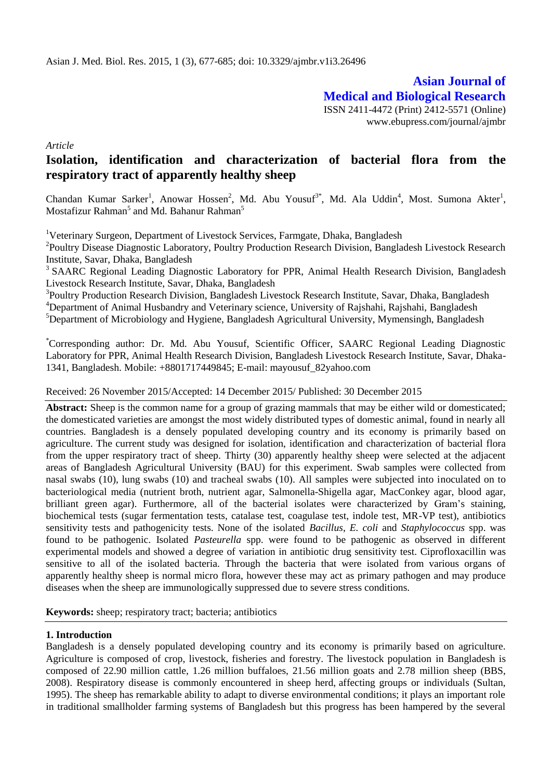**Asian Journal of Medical and Biological Research** ISSN 2411-4472 (Print) 2412-5571 (Online) www.ebupress.com/journal/ajmbr

*Article*

# **Isolation, identification and characterization of bacterial flora from the respiratory tract of apparently healthy sheep**

Chandan Kumar Sarker<sup>1</sup>, Anowar Hossen<sup>2</sup>, Md. Abu Yousuf<sup>3\*</sup>, Md. Ala Uddin<sup>4</sup>, Most. Sumona Akter<sup>1</sup>, Mostafizur Rahman<sup>5</sup> and Md. Bahanur Rahman<sup>5</sup>

<sup>1</sup>Veterinary Surgeon, Department of Livestock Services, Farmgate, Dhaka, Bangladesh

<sup>2</sup>Poultry Disease Diagnostic Laboratory, Poultry Production Research Division, Bangladesh Livestock Research Institute, Savar, Dhaka, Bangladesh

<sup>3</sup> SAARC Regional Leading Diagnostic Laboratory for PPR, Animal Health Research Division, Bangladesh Livestock Research Institute, Savar, Dhaka, Bangladesh

<sup>3</sup>Poultry Production Research Division, Bangladesh Livestock Research Institute, Savar, Dhaka, Bangladesh <sup>4</sup>Department of Animal Husbandry and Veterinary science, University of Rajshahi, Rajshahi, Bangladesh <sup>5</sup>Department of Microbiology and Hygiene, Bangladesh Agricultural University, Mymensingh, Bangladesh

\*Corresponding author: Dr. Md. Abu Yousuf, Scientific Officer, SAARC Regional Leading Diagnostic Laboratory for PPR, Animal Health Research Division, Bangladesh Livestock Research Institute, Savar, Dhaka-1341, Bangladesh. Mobile: +8801717449845; E-mail: mayousuf\_82yahoo.com

Received: 26 November 2015/Accepted: 14 December 2015/ Published: 30 December 2015

**Abstract:** Sheep is the common name for a group of grazing mammals that may be either wild or domesticated; the domesticated varieties are amongst the most widely distributed types of domestic animal, found in nearly all countries. Bangladesh is a densely populated developing country and its economy is primarily based on agriculture. The current study was designed for isolation, identification and characterization of bacterial flora from the upper respiratory tract of sheep. Thirty (30) apparently healthy sheep were selected at the adjacent areas of Bangladesh Agricultural University (BAU) for this experiment. Swab samples were collected from nasal swabs (10), lung swabs (10) and tracheal swabs (10). All samples were subjected into inoculated on to bacteriological media (nutrient broth, nutrient agar, Salmonella-Shigella agar, MacConkey agar, blood agar, brilliant green agar). Furthermore, all of the bacterial isolates were characterized by Gram's staining, biochemical tests (sugar fermentation tests, catalase test, coagulase test, indole test, MR-VP test), antibiotics sensitivity tests and pathogenicity tests. None of the isolated *Bacillus*, *E. coli* and *Staphylococcus* spp. was found to be pathogenic. Isolated *Pasteurella* spp. were found to be pathogenic as observed in different experimental models and showed a degree of variation in antibiotic drug sensitivity test. Ciprofloxacillin was sensitive to all of the isolated bacteria. Through the bacteria that were isolated from various organs of apparently healthy sheep is normal micro flora, however these may act as primary pathogen and may produce diseases when the sheep are immunologically suppressed due to severe stress conditions.

**Keywords:** sheep; respiratory tract; bacteria; antibiotics

#### **1. Introduction**

Bangladesh is a densely populated developing country and its economy is primarily based on agriculture. Agriculture is composed of crop, livestock, fisheries and forestry. The livestock population in Bangladesh is composed of 22.90 million cattle, 1.26 million buffaloes, 21.56 million goats and 2.78 million sheep (BBS, 2008). Respiratory disease is commonly encountered in sheep herd, affecting groups or individuals (Sultan, 1995). The sheep has remarkable ability to adapt to diverse environmental conditions; it plays an important role in traditional smallholder farming systems of Bangladesh but this progress has been hampered by the several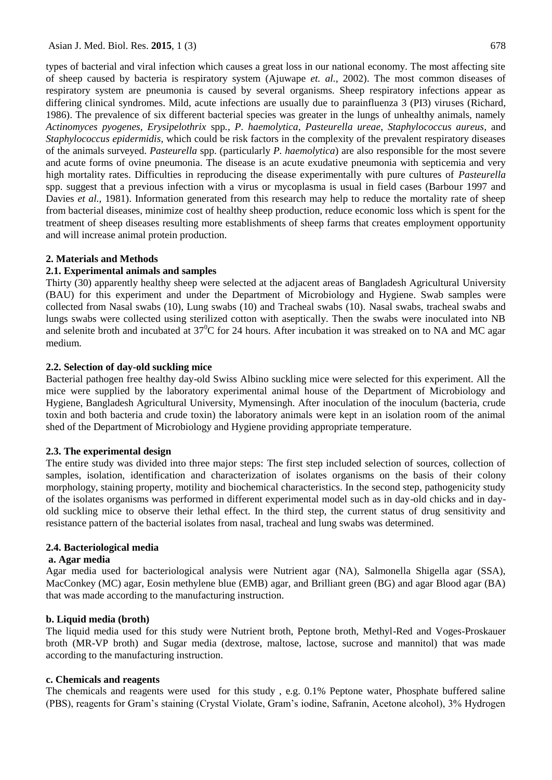types of bacterial and viral infection which causes a great loss in our national economy. The most affecting site of sheep caused by bacteria is respiratory system (Ajuwape *et. al.,* 2002). The most common diseases of respiratory system are pneumonia is caused by several organisms. Sheep respiratory infections appear as differing clinical syndromes. Mild, acute infections are usually due to parainfluenza 3 (PI3) viruses (Richard, 1986). The prevalence of six different bacterial species was greater in the lungs of unhealthy animals, namely *Actinomyces pyogenes, Erysipelothrix* spp*., P. haemolytica*, *Pasteurella ureae*, *Staphylococcus aureus*, and *Staphylococcus epidermidis*, which could be risk factors in the complexity of the prevalent respiratory diseases of the animals surveyed. *Pasteurella* spp. (particularly *P. haemolytica*) are also responsible for the most severe and acute forms of ovine pneumonia. The disease is an acute exudative pneumonia with septicemia and very high mortality rates. Difficulties in reproducing the disease experimentally with pure cultures of *Pasteurella* spp. suggest that a previous infection with a virus or mycoplasma is usual in field cases (Barbour 1997 and Davies *et al.*, 1981). Information generated from this research may help to reduce the mortality rate of sheep from bacterial diseases, minimize cost of healthy sheep production, reduce economic loss which is spent for the treatment of sheep diseases resulting more establishments of sheep farms that creates employment opportunity and will increase animal protein production.

#### **2. Materials and Methods**

# **2.1. Experimental animals and samples**

Thirty (30) apparently healthy sheep were selected at the adjacent areas of Bangladesh Agricultural University (BAU) for this experiment and under the Department of Microbiology and Hygiene. Swab samples were collected from Nasal swabs (10), Lung swabs (10) and Tracheal swabs (10). Nasal swabs, tracheal swabs and lungs swabs were collected using sterilized cotton with aseptically. Then the swabs were inoculated into NB and selenite broth and incubated at  $37^{\circ}$ C for 24 hours. After incubation it was streaked on to NA and MC agar medium.

# **2.2. Selection of day-old suckling mice**

Bacterial pathogen free healthy day-old Swiss Albino suckling mice were selected for this experiment. All the mice were supplied by the laboratory experimental animal house of the Department of Microbiology and Hygiene, Bangladesh Agricultural University, Mymensingh. After inoculation of the inoculum (bacteria, crude toxin and both bacteria and crude toxin) the laboratory animals were kept in an isolation room of the animal shed of the Department of Microbiology and Hygiene providing appropriate temperature.

#### **2.3. The experimental design**

The entire study was divided into three major steps: The first step included selection of sources, collection of samples, isolation, identification and characterization of isolates organisms on the basis of their colony morphology, staining property, motility and biochemical characteristics. In the second step, pathogenicity study of the isolates organisms was performed in different experimental model such as in day-old chicks and in dayold suckling mice to observe their lethal effect. In the third step, the current status of drug sensitivity and resistance pattern of the bacterial isolates from nasal, tracheal and lung swabs was determined.

#### **2.4. Bacteriological media**

#### **a. Agar media**

Agar media used for bacteriological analysis were Nutrient agar (NA), Salmonella Shigella agar (SSA), MacConkey (MC) agar, Eosin methylene blue (EMB) agar, and Brilliant green (BG) and agar Blood agar (BA) that was made according to the manufacturing instruction.

#### **b. Liquid media (broth)**

The liquid media used for this study were Nutrient broth, Peptone broth, Methyl-Red and Voges-Proskauer broth (MR-VP broth) and Sugar media (dextrose, maltose, lactose, sucrose and mannitol) that was made according to the manufacturing instruction.

#### **c. Chemicals and reagents**

The chemicals and reagents were used for this study , e.g. 0.1% Peptone water, Phosphate buffered saline (PBS), reagents for Gram's staining (Crystal Violate, Gram's iodine, Safranin, Acetone alcohol), 3% Hydrogen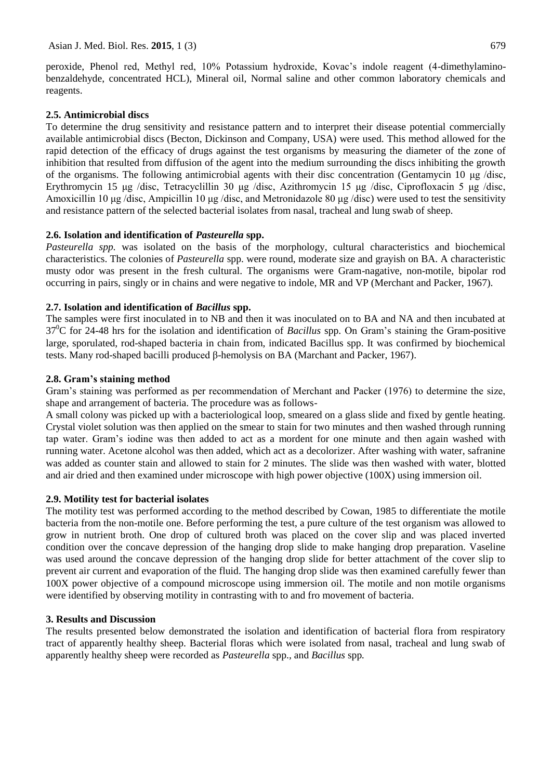peroxide, Phenol red, Methyl red, 10% Potassium hydroxide, Kovac's indole reagent (4-dimethylaminobenzaldehyde, concentrated HCL), Mineral oil, Normal saline and other common laboratory chemicals and reagents.

#### **2.5. Antimicrobial discs**

To determine the drug sensitivity and resistance pattern and to interpret their disease potential commercially available antimicrobial discs (Becton, Dickinson and Company, USA) were used. This method allowed for the rapid detection of the efficacy of drugs against the test organisms by measuring the diameter of the zone of inhibition that resulted from diffusion of the agent into the medium surrounding the discs inhibiting the growth of the organisms. The following antimicrobial agents with their disc concentration (Gentamycin 10 μg /disc, Erythromycin 15 μg /disc, Tetracyclillin 30 μg /disc, Azithromycin 15 μg /disc, Ciprofloxacin 5 μg /disc, Amoxicillin 10 μg /disc, Ampicillin 10 μg /disc, and Metronidazole 80 μg /disc) were used to test the sensitivity and resistance pattern of the selected bacterial isolates from nasal, tracheal and lung swab of sheep.

# **2.6. Isolation and identification of** *Pasteurella* **spp.**

*Pasteurella spp.* was isolated on the basis of the morphology, cultural characteristics and biochemical characteristics. The colonies of *Pasteurella* spp. were round, moderate size and grayish on BA. A characteristic musty odor was present in the fresh cultural. The organisms were Gram-nagative, non-motile, bipolar rod occurring in pairs, singly or in chains and were negative to indole, MR and VP (Merchant and Packer, 1967).

# **2.7. Isolation and identification of** *Bacillus* **spp.**

The samples were first inoculated in to NB and then it was inoculated on to BA and NA and then incubated at 37<sup>0</sup>C for 24-48 hrs for the isolation and identification of *Bacillus* spp. On Gram's staining the Gram-positive large, sporulated, rod-shaped bacteria in chain from, indicated Bacillus spp. It was confirmed by biochemical tests. Many rod-shaped bacilli produced β-hemolysis on BA (Marchant and Packer, 1967).

# **2.8. Gram's staining method**

Gram's staining was performed as per recommendation of Merchant and Packer (1976) to determine the size, shape and arrangement of bacteria. The procedure was as follows-

A small colony was picked up with a bacteriological loop, smeared on a glass slide and fixed by gentle heating. Crystal violet solution was then applied on the smear to stain for two minutes and then washed through running tap water. Gram's iodine was then added to act as a mordent for one minute and then again washed with running water. Acetone alcohol was then added, which act as a decolorizer. After washing with water, safranine was added as counter stain and allowed to stain for 2 minutes. The slide was then washed with water, blotted and air dried and then examined under microscope with high power objective (100X) using immersion oil.

#### **2.9. Motility test for bacterial isolates**

The motility test was performed according to the method described by Cowan, 1985 to differentiate the motile bacteria from the non-motile one. Before performing the test, a pure culture of the test organism was allowed to grow in nutrient broth. One drop of cultured broth was placed on the cover slip and was placed inverted condition over the concave depression of the hanging drop slide to make hanging drop preparation. Vaseline was used around the concave depression of the hanging drop slide for better attachment of the cover slip to prevent air current and evaporation of the fluid. The hanging drop slide was then examined carefully fewer than 100X power objective of a compound microscope using immersion oil. The motile and non motile organisms were identified by observing motility in contrasting with to and fro movement of bacteria.

#### **3. Results and Discussion**

The results presented below demonstrated the isolation and identification of bacterial flora from respiratory tract of apparently healthy sheep. Bacterial floras which were isolated from nasal, tracheal and lung swab of apparently healthy sheep were recorded as *Pasteurella* spp.*,* and *Bacillus* spp*.*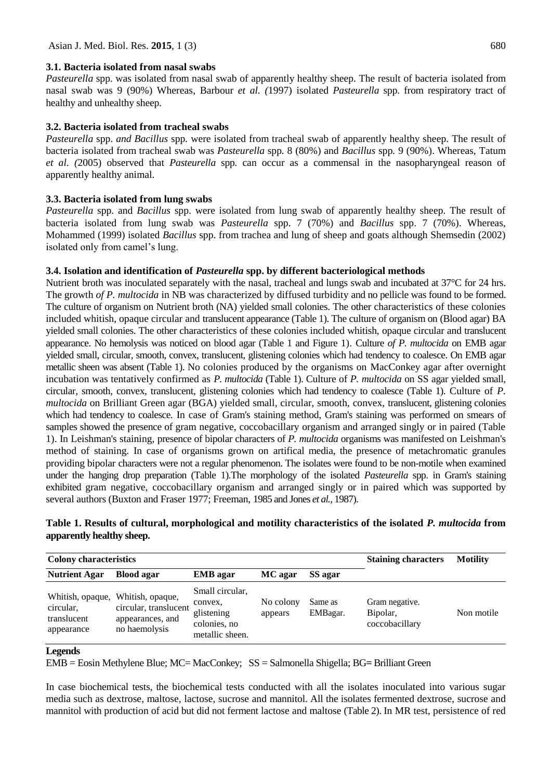#### **3.1. Bacteria isolated from nasal swabs**

*Pasteurella* spp. was isolated from nasal swab of apparently healthy sheep. The result of bacteria isolated from nasal swab was 9 (90%) Whereas, Barbour *et al. (*1997) isolated *Pasteurella* spp. from respiratory tract of healthy and unhealthy sheep.

#### **3.2. Bacteria isolated from tracheal swabs**

*Pasteurella* spp. *and Bacillus* spp*.* were isolated from tracheal swab of apparently healthy sheep. The result of bacteria isolated from tracheal swab was *Pasteurella* spp*.* 8 (80%) and *Bacillus* spp*.* 9 (90%). Whereas, Tatum *et al. (*2005) observed that *Pasteurella* spp*.* can occur as a commensal in the nasopharyngeal reason of apparently healthy animal.

# **3.3. Bacteria isolated from lung swabs**

*Pasteurella* spp. and *Bacillus* spp. were isolated from lung swab of apparently healthy sheep. The result of bacteria isolated from lung swab was *Pasteurella* spp. 7 (70%) and *Bacillus* spp. 7 (70%). Whereas, Mohammed (1999) isolated *Bacillus* spp. from trachea and lung of sheep and goats although Shemsedin (2002) isolated only from camel's lung.

# **3.4. Isolation and identification of** *Pasteurella* **spp. by different bacteriological methods**

Nutrient broth was inoculated separately with the nasal, tracheal and lungs swab and incubated at 37<sup>o</sup>C for 24 hrs. The growth *of P. multocida* in NB was characterized by diffused turbidity and no pellicle was found to be formed. The culture of organism on Nutrient broth (NA) yielded small colonies. The other characteristics of these colonies included whitish, opaque circular and translucent appearance (Table 1). The culture of organism on (Blood agar) BA yielded small colonies. The other characteristics of these colonies included whitish, opaque circular and translucent appearance. No hemolysis was noticed on blood agar (Table 1 and Figure 1). Culture *of P. multocida* on EMB agar yielded small, circular, smooth, convex, translucent, glistening colonies which had tendency to coalesce. On EMB agar metallic sheen was absent (Table 1). No colonies produced by the organisms on MacConkey agar after overnight incubation was tentatively confirmed as *P. multocida* (Table 1). Culture of *P. multocida* on SS agar yielded small, circular, smooth, convex, translucent, glistening colonies which had tendency to coalesce (Table 1). Culture of *P. multocida* on Brilliant Green agar (BGA) yielded small, circular, smooth, convex, translucent, glistening colonies which had tendency to coalesce. In case of Gram's staining method, Gram's staining was performed on smears of samples showed the presence of gram negative, coccobacillary organism and arranged singly or in paired (Table 1). In Leishman's staining, presence of bipolar characters of *P. multocida* organisms was manifested on Leishman's method of staining. In case of organisms grown on artifical media, the presence of metachromatic granules providing bipolar characters were not a regular phenomenon. The isolates were found to be non-motile when examined under the hanging drop preparation (Table 1).The morphology of the isolated *Pasteurella* spp. in Gram's staining exhibited gram negative, coccobacillary organism and arranged singly or in paired which was supported by several authors (Buxton and Fraser 1977; Freeman, 1985 and Jones *et al.,* 1987).

| Table 1. Results of cultural, morphological and motility characteristics of the isolated P. multocida from |
|------------------------------------------------------------------------------------------------------------|
| apparently healthy sheep.                                                                                  |
|                                                                                                            |

| <b>Colony characteristics</b>                              |                                                                                |                                                                             | <b>Staining characters</b> | <b>Motility</b>     |                                              |            |
|------------------------------------------------------------|--------------------------------------------------------------------------------|-----------------------------------------------------------------------------|----------------------------|---------------------|----------------------------------------------|------------|
| <b>Nutrient Agar</b>                                       | <b>Blood agar</b><br><b>EMB</b> agar                                           |                                                                             | SS agar<br>MC agar         |                     |                                              |            |
| Whitish, opaque,<br>circular,<br>translucent<br>appearance | Whitish, opaque,<br>circular, translucent<br>appearances, and<br>no haemolysis | Small circular,<br>convex,<br>glistening<br>colonies, no<br>metallic sheen. | No colony<br>appears       | Same as<br>EMBagar. | Gram negative.<br>Bipolar,<br>coccobacillary | Non motile |

#### **Legends**

EMB = Eosin Methylene Blue; MC= MacConkey; SS = Salmonella Shigella; BG**=** Brilliant Green

In case biochemical tests, the biochemical tests conducted with all the isolates inoculated into various sugar media such as dextrose, maltose, lactose, sucrose and mannitol. All the isolates fermented dextrose, sucrose and mannitol with production of acid but did not ferment lactose and maltose (Table 2). In MR test, persistence of red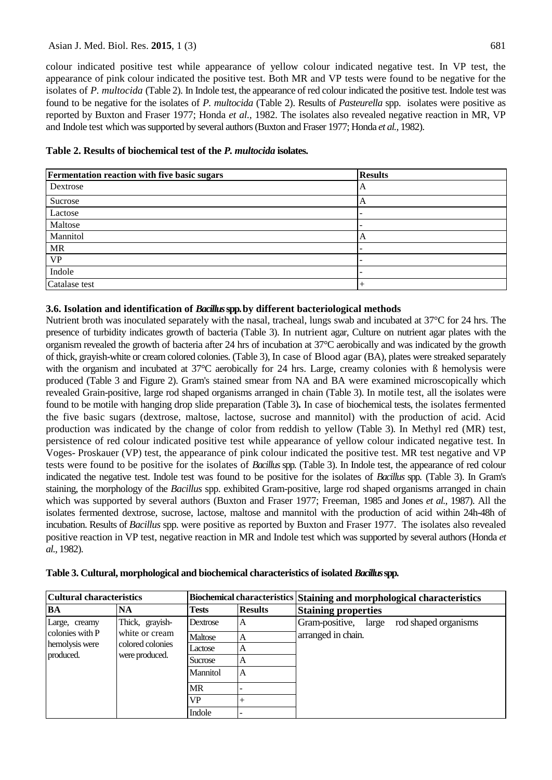#### Asian J. Med. Biol. Res. 2015, 1 (3) 681

colour indicated positive test while appearance of yellow colour indicated negative test. In VP test, the appearance of pink colour indicated the positive test. Both MR and VP tests were found to be negative for the isolates of *P. multocida* (Table 2). In Indole test, the appearance of red colour indicated the positive test. Indole test was found to be negative for the isolates of *P. multocida* (Table 2). Results of *Pasteurella* spp. isolates were positive as reported by Buxton and Fraser 1977; Honda *et al.,* 1982. The isolates also revealed negative reaction in MR, VP and Indole test which was supported by several authors (Buxton and Fraser 1977; Honda *et al.,* 1982).

| Table 2. Results of biochemical test of the P. multocida isolates. |
|--------------------------------------------------------------------|
|--------------------------------------------------------------------|

| Fermentation reaction with five basic sugars | <b>Results</b> |
|----------------------------------------------|----------------|
| Dextrose                                     | A              |
| Sucrose                                      |                |
| Lactose                                      |                |
| Maltose                                      |                |
| Mannitol                                     |                |
| <b>MR</b>                                    |                |
| <b>VP</b>                                    |                |
| Indole                                       |                |
| Catalase test                                |                |

# **3.6. Isolation and identification of** *Bacillus* **spp.by different bacteriological methods**

Nutrient broth was inoculated separately with the nasal, tracheal, lungs swab and incubated at 37°C for 24 hrs. The presence of turbidity indicates growth of bacteria (Table 3). In nutrient agar, Culture on nutrient agar plates with the organism revealed the growth of bacteria after 24 hrs of incubation at 37°C aerobically and was indicated by the growth of thick, grayish-white or cream colored colonies. (Table 3), In case of Blood agar (BA), plates were streaked separately with the organism and incubated at 37<sup>°</sup>C aerobically for 24 hrs. Large, creamy colonies with B hemolysis were produced (Table 3 and Figure 2). Gram's stained smear from NA and BA were examined microscopically which revealed Grain-positive, large rod shaped organisms arranged in chain (Table 3). In motile test, all the isolates were found to be motile with hanging drop slide preparation (Table 3)**.** In case of biochemical tests, the isolates fermented the five basic sugars (dextrose, maltose, lactose, sucrose and mannitol) with the production of acid. Acid production was indicated by the change of color from reddish to yellow (Table 3). In Methyl red (MR) test, persistence of red colour indicated positive test while appearance of yellow colour indicated negative test. In Voges- Proskauer (VP) test, the appearance of pink colour indicated the positive test. MR test negative and VP tests were found to be positive for the isolates of *Bacillus* spp. (Table 3). In Indole test, the appearance of red colour indicated the negative test. Indole test was found to be positive for the isolates of *Bacillus* spp. (Table 3). In Gram's staining, the morphology of the *Bacillus* spp. exhibited Gram-positive, large rod shaped organisms arranged in chain which was supported by several authors (Buxton and Fraser 1977; Freeman, 1985 and Jones *et al.,* 1987). All the isolates fermented dextrose, sucrose, lactose, maltose and mannitol with the production of acid within 24h-48h of incubation. Results of *Bacillus* spp. were positive as reported by Buxton and Fraser 1977. The isolates also revealed positive reaction in VP test, negative reaction in MR and Indole test which was supported by several authors (Honda *et al.,* 1982).

| Cultural characteristics                                        |                                                                         |              |                | Biochemical characteristics Staining and morphological characteristics |  |  |  |  |  |
|-----------------------------------------------------------------|-------------------------------------------------------------------------|--------------|----------------|------------------------------------------------------------------------|--|--|--|--|--|
| <b>BA</b>                                                       | <b>NA</b>                                                               | <b>Tests</b> | <b>Results</b> | <b>Staining properties</b>                                             |  |  |  |  |  |
| Large, creamy<br>colonies with P<br>hemolysis were<br>produced. | Thick, grayish-<br>white or cream<br>colored colonies<br>were produced. | Dextrose     | A              | Gram-positive,<br>rod shaped organisms<br>large                        |  |  |  |  |  |
|                                                                 |                                                                         | Maltose      | Α              | arranged in chain.                                                     |  |  |  |  |  |
|                                                                 |                                                                         | Lactose      | А              |                                                                        |  |  |  |  |  |
|                                                                 |                                                                         | Sucrose      | А              |                                                                        |  |  |  |  |  |
|                                                                 |                                                                         | Mannitol     | A              |                                                                        |  |  |  |  |  |
|                                                                 |                                                                         | <b>MR</b>    |                |                                                                        |  |  |  |  |  |
|                                                                 |                                                                         | <b>VP</b>    |                |                                                                        |  |  |  |  |  |
|                                                                 |                                                                         | Indole       |                |                                                                        |  |  |  |  |  |

**Table 3. Cultural, morphological and biochemical characteristics of isolated** *Bacillus* **spp.**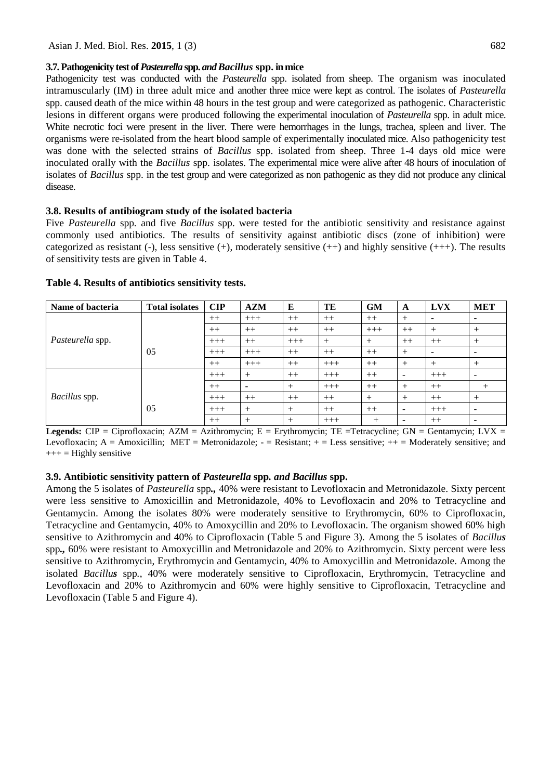#### **3.7. Pathogenicity test of** *Pasteurella* **spp.** *and Bacillus* **spp. in mice**

Pathogenicity test was conducted with the *Pasteurella* spp. isolated from sheep. The organism was inoculated intramuscularly (IM) in three adult mice and another three mice were kept as control. The isolates of *Pasteurella*  spp. caused death of the mice within 48 hours in the test group and were categorized as pathogenic. Characteristic lesions in different organs were produced following the experimental inoculation of *Pasteurella* spp. in adult mice. White necrotic foci were present in the liver. There were hemorrhages in the lungs, trachea, spleen and liver. The organisms were re-isolated from the heart blood sample of experimentally inoculated mice. Also pathogenicity test was done with the selected strains of *Bacillus* spp. isolated from sheep. Three 1-4 days old mice were inoculated orally with the *Bacillus* spp. isolates. The experimental mice were alive after 48 hours of inoculation of isolates of *Bacillus* spp. in the test group and were categorized as non pathogenic as they did not produce any clinical disease.

#### **3.8. Results of antibiogram study of the isolated bacteria**

Five *Pasteurella* spp*.* and five *Bacillus* spp. were tested for the antibiotic sensitivity and resistance against commonly used antibiotics. The results of sensitivity against antibiotic discs (zone of inhibition) were categorized as resistant (-), less sensitive  $(+)$ , moderately sensitive  $(++)$  and highly sensitive  $(++)$ . The results of sensitivity tests are given in Table 4.

| Name of bacteria | <b>Total isolates</b> | CIP   | <b>AZM</b>               | E      | TE     | <b>GM</b> | A      | <b>LVX</b>               | <b>MET</b>               |
|------------------|-----------------------|-------|--------------------------|--------|--------|-----------|--------|--------------------------|--------------------------|
|                  |                       | $++$  | $+++$                    | $++$   | $++$   | $++$      | $^{+}$ | $\overline{\phantom{a}}$ |                          |
|                  |                       | $++$  | $++$                     | $++$   | $++$   | $+++$     | $++$   | $^+$                     | $^{+}$                   |
| Pasteurella spp. |                       | $+++$ | $++$                     | $+++$  | $^{+}$ | $+$       | $++$   | $++$                     |                          |
|                  | 05                    | $+++$ | $+++$                    | $++$   | $++$   | $++$      | $^{+}$ | $\overline{\phantom{a}}$ | $\overline{\phantom{a}}$ |
|                  |                       | $++$  | $+++$                    | $++$   | $+++$  | $++$      | $^{+}$ | $^{+}$                   | $+$                      |
|                  |                       | $+++$ | $^{+}$                   | $++$   | $+++$  | $++$      | ۰      | $+++$                    |                          |
|                  |                       | $++$  | $\overline{\phantom{a}}$ | $^{+}$ | $+++$  | $++$      | $+$    | $++$                     | $^{+}$                   |
| Bacillus spp.    |                       | $+++$ | $++$                     | $++$   | $++$   | $+$       | $+$    | $++$                     | $^{+}$                   |
|                  | 05                    | $+++$ | $^{+}$                   | $^{+}$ | $++$   | $++$      | -      | $+++$                    | $\overline{\phantom{a}}$ |
|                  |                       | $++$  | $^{+}$                   | $^{+}$ | $+++$  | $^+$      |        | $++$                     | $\overline{\phantom{0}}$ |

#### **Table 4. Results of antibiotics sensitivity tests.**

**Legends:**  $CIP = Ciproflox (AZM) = Azithromycin; E = Erythromycin; TE = Tetracycline; GN = Gentamycin; LVX = Tetracycline; G.$ Levofloxacin;  $A =$  Amoxicillin; MET = Metronidazole;  $-$  = Resistant;  $+$  = Less sensitive;  $++$  = Moderately sensitive; and  $+++$  = Highly sensitive

#### **3.9. Antibiotic sensitivity pattern of** *Pasteurella* **spp***. and Bacillus* **spp.**

Among the 5 isolates of *Pasteurella* spp*.,* 40% were resistant to Levofloxacin and Metronidazole. Sixty percent were less sensitive to Amoxicillin and Metronidazole, 40% to Levofloxacin and 20% to Tetracycline and Gentamycin. Among the isolates 80% were moderately sensitive to Erythromycin, 60% to Ciprofloxacin, Tetracycline and Gentamycin, 40% to Amoxycillin and 20% to Levofloxacin. The organism showed 60% high sensitive to Azithromycin and 40% to Ciprofloxacin (Table 5 and Figure 3). Among the 5 isolates of *Bacillus* spp*.,* 60% were resistant to Amoxycillin and Metronidazole and 20% to Azithromycin. Sixty percent were less sensitive to Azithromycin, Erythromycin and Gentamycin, 40% to Amoxycillin and Metronidazole. Among the isolated *Bacillus* spp*.*, 40% were moderately sensitive to Ciprofloxacin, Erythromycin, Tetracycline and Levofloxacin and 20% to Azithromycin and 60% were highly sensitive to Ciprofloxacin, Tetracycline and Levofloxacin (Table 5 and Figure 4).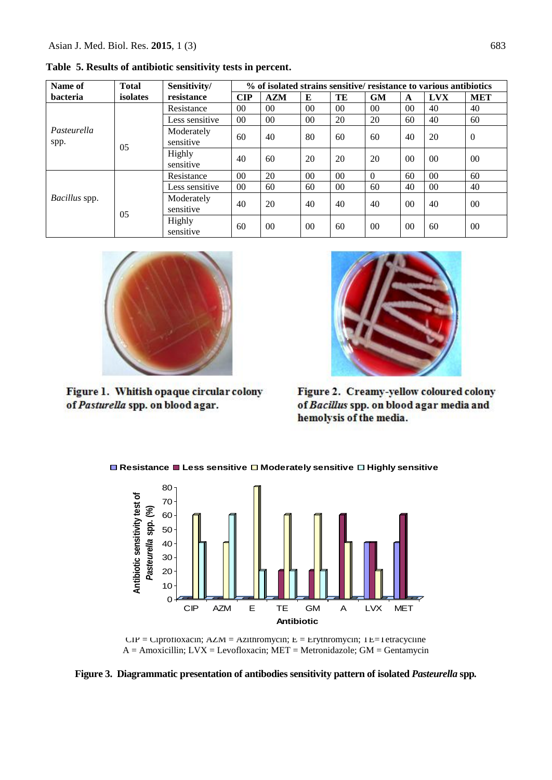| Name of             | <b>Total</b> | Sensitivity/            | % of isolated strains sensitive/ resistance to various antibiotics |            |                |        |                |                 |                 |              |
|---------------------|--------------|-------------------------|--------------------------------------------------------------------|------------|----------------|--------|----------------|-----------------|-----------------|--------------|
| bacteria            | isolates     | resistance              | CIP                                                                | <b>AZM</b> | E              | TE     | <b>GM</b>      | A               | <b>LVX</b>      | <b>MET</b>   |
|                     |              | Resistance              | 0 <sub>0</sub>                                                     | $00\,$     | 0 <sup>0</sup> | $00\,$ | 0 <sup>0</sup> | 00 <sup>1</sup> | 40              | 40           |
|                     |              | Less sensitive          | 0 <sub>0</sub>                                                     | $00\,$     | 0 <sup>0</sup> | 20     | 20             | 60              | 40              | 60           |
| Pasteurella<br>spp. | 0.5          | Moderately<br>sensitive | 60                                                                 | 40         | 80             | 60     | 60             | 40              | 20              | $\mathbf{0}$ |
|                     |              | Highly<br>sensitive     | 40                                                                 | 60         | 20             | 20     | 20             | 00 <sup>1</sup> | 0 <sup>0</sup>  | 00           |
| Bacillus spp.       |              | Resistance              | 00                                                                 | 20         | 0 <sup>0</sup> | $00\,$ | $\Omega$       | 60              | 00 <sup>0</sup> | 60           |
|                     |              | Less sensitive          | 00                                                                 | 60         | 60             | 00     | 60             | 40              | 00              | 40           |
|                     | 0.5          | Moderately<br>sensitive | 40                                                                 | 20         | 40             | 40     | 40             | 0 <sup>0</sup>  | 40              | $00\,$       |
|                     |              | Highly<br>sensitive     | 60                                                                 | $00\,$     | 0 <sup>0</sup> | 60     | 0 <sup>0</sup> | 0 <sup>0</sup>  | 60              | $00\,$       |

**Table 5. Results of antibiotic sensitivity tests in percent.** 



Figure 1. Whitish opaque circular colony of Pasturella spp. on blood agar.



Figure 2. Creamy-yellow coloured colony of Bacillus spp. on blood agar media and hemolysis of the media.

**Resistance Less sensitive Moderately sensitive Highly sensitive**



 $CIP = Ciprotloxacin; AZM = Azithromycin; E = Erythromycin; TE = I etracycline$ A = Amoxicillin; LVX = Levofloxacin; MET = Metronidazole; GM = Gentamycin

**Figure 3. Diagrammatic presentation of antibodies sensitivity pattern of isolated** *Pasteurella* **spp***.*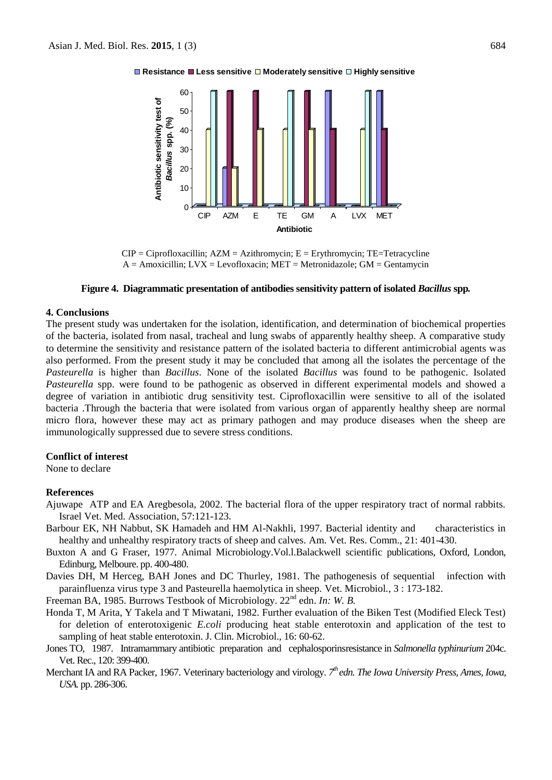



 $CIP = Ciprofloxacillin$ ;  $AZM = Azithromycin$ ;  $E = Erythromycin$ ;  $TE = Tetracycline$  $A =$  Amoxicillin;  $LVX =$  Levofloxacin; MET = Metronidazole; GM = Gentamycin

#### **Figure 4. Diagrammatic presentation of antibodies sensitivity pattern of isolated** *Bacillus* **spp***.*

#### **4. Conclusions**

The present study was undertaken for the isolation, identification, and determination of biochemical properties of the bacteria, isolated from nasal, tracheal and lung swabs of apparently healthy sheep. A comparative study to determine the sensitivity and resistance pattern of the isolated bacteria to different antimicrobial agents was also performed. From the present study it may be concluded that among all the isolates the percentage of the *Pasteurella* is higher than *Bacillus*. None of the isolated *Bacillus* was found to be pathogenic. Isolated *Pasteurella* spp. were found to be pathogenic as observed in different experimental models and showed a degree of variation in antibiotic drug sensitivity test. Ciprofloxacillin were sensitive to all of the isolated bacteria .Through the bacteria that were isolated from various organ of apparently healthy sheep are normal micro flora, however these may act as primary pathogen and may produce diseases when the sheep are immunologically suppressed due to severe stress conditions.

#### **Conflict of interest**

None to declare

#### **References**

- Ajuwape ATP and EA Aregbesola, 2002. The bacterial flora of the upper respiratory tract of normal rabbits. Israel Vet. Med. Association, 57:121-123.
- Barbour EK, NH Nabbut, SK Hamadeh and HM Al-Nakhli, 1997. Bacterial identity and characteristics in healthy and unhealthy respiratory tracts of sheep and calves. Am. Vet. Res. Comm., 21: 401-430.
- Buxton A and G Fraser, 1977. Animal Microbiology.Vol.l.Balackwell scientific publications, Oxford, London, Edinburg, Melboure. pp. 400-480.
- Davies DH, M Herceg, BAH Jones and DC Thurley, 1981. The pathogenesis of sequential infection with parainfluenza virus type 3 and Pasteurella haemolytica in sheep. Vet. Microbiol*.*, 3 : 173-182.

Freeman BA, 1985. Burrows Testbook of Microbiology. 22nd edn. *In: W. B.*

- Honda T, M Arita, Y Takela and T Miwatani, 1982. Further evaluation of the Biken Test (Modified Eleck Test) for deletion of enterotoxigenic *E.coli* producing heat stable enterotoxin and application of the test to sampling of heat stable enterotoxin. J. Clin. Microbiol., 16: 60-62.
- Jones TO, 1987. Intramammary antibiotic preparation and cephalosporinsresistance in *Salmonella typhinurium* 204c. Vet. Rec., 120: 399-400.
- Merchant IA and RA Packer, 1967. Veterinary bacteriology and virology. 7<sup>th</sup> edn. The Iowa University Press, Ames, Iowa, *USA.* pp. 286-306.